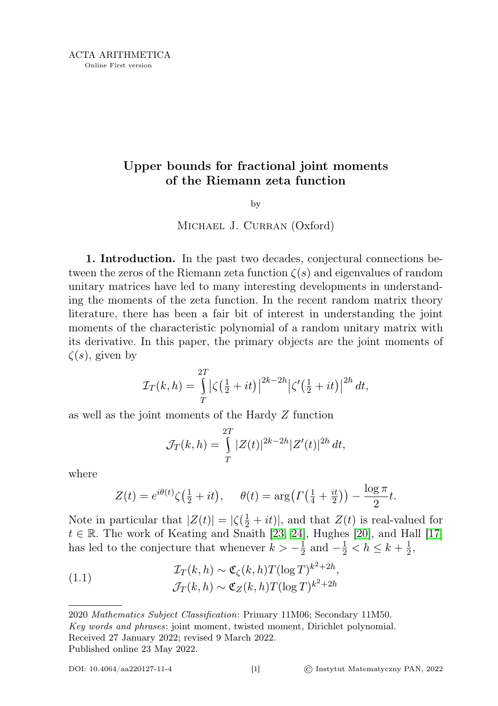# Upper bounds for fractional joint moments of the Riemann zeta function

## by

## Michael J. Curran (Oxford)

1. Introduction. In the past two decades, conjectural connections between the zeros of the Riemann zeta function  $\zeta(s)$  and eigenvalues of random unitary matrices have led to many interesting developments in understanding the moments of the zeta function. In the recent random matrix theory literature, there has been a fair bit of interest in understanding the joint moments of the characteristic polynomial of a random unitary matrix with its derivative. In this paper, the primary objects are the joint moments of  $\zeta(s)$ , given by

$$
\mathcal{I}_T(k, h) = \int\limits_T^{2T} \left| \zeta \left( \frac{1}{2} + it \right) \right|^{2k - 2h} \left| \zeta' \left( \frac{1}{2} + it \right) \right|^{2h} dt,
$$

as well as the joint moments of the Hardy Z function

$$
\mathcal{J}_T(k, h) = \int\limits_T^{2T} |Z(t)|^{2k - 2h} |Z'(t)|^{2h} dt,
$$

where

$$
Z(t) = e^{i\theta(t)}\zeta(\frac{1}{2} + it), \quad \theta(t) = \arg\left(\Gamma\left(\frac{1}{4} + \frac{it}{2}\right)\right) - \frac{\log \pi}{2}t.
$$

Note in particular that  $|Z(t)| = |\zeta(\frac{1}{2} + it)|$ , and that  $Z(t)$  is real-valued for  $t \in \mathbb{R}$ . The work of Keating and Snaith [\[23,](#page-12-0) [24\]](#page-12-1), Hughes [\[20\]](#page-12-2), and Hall [\[17\]](#page-12-3) has led to the conjecture that whenever  $k > -\frac{1}{2}$  $\frac{1}{2}$  and  $-\frac{1}{2} < h \leq k + \frac{1}{2}$  $\frac{1}{2}$ ,

<span id="page-0-0"></span>(1.1) 
$$
\mathcal{I}_T(k,h) \sim \mathfrak{C}_{\zeta}(k,h)T(\log T)^{k^2+2h},
$$

$$
\mathcal{J}_T(k,h) \sim \mathfrak{C}_Z(k,h)T(\log T)^{k^2+2h}
$$

<sup>2020</sup> Mathematics Subject Classification: Primary 11M06; Secondary 11M50. Key words and phrases: joint moment, twisted moment, Dirichlet polynomial. Received 27 January 2022; revised 9 March 2022. Published online 23 May 2022.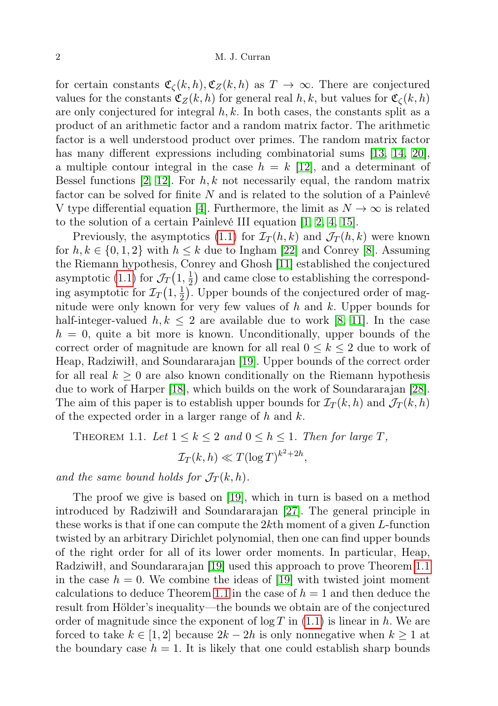for certain constants  $\mathfrak{C}_{\mathcal{C}}(k, h), \mathfrak{C}_{Z}(k, h)$  as  $T \to \infty$ . There are conjectured values for the constants  $\mathfrak{C}_Z(k, h)$  for general real h, k, but values for  $\mathfrak{C}_\zeta(k, h)$ are only conjectured for integral  $h, k$ . In both cases, the constants split as a product of an arithmetic factor and a random matrix factor. The arithmetic factor is a well understood product over primes. The random matrix factor has many different expressions including combinatorial sums [\[13,](#page-12-4) [14,](#page-12-5) [20\]](#page-12-2), a multiple contour integral in the case  $h = k$  [\[12\]](#page-12-6), and a determinant of Bessel functions [\[2,](#page-11-0) [12\]](#page-12-6). For  $h, k$  not necessarily equal, the random matrix factor can be solved for finite  $N$  and is related to the solution of a Painlevé V type differential equation [\[4\]](#page-12-7). Furthermore, the limit as  $N \to \infty$  is related to the solution of a certain Painlevé III equation [\[1,](#page-11-1) [2,](#page-11-0) [4,](#page-12-7) [15\]](#page-12-8).

Previously, the asymptotics [\(1.1\)](#page-0-0) for  $\mathcal{I}_T(h,k)$  and  $\mathcal{J}_T(h,k)$  were known for  $h, k \in \{0, 1, 2\}$  with  $h \leq k$  due to Ingham [\[22\]](#page-12-9) and Conrey [\[8\]](#page-12-10). Assuming the Riemann hypothesis, Conrey and Ghosh [\[11\]](#page-12-11) established the conjectured asymptotic [\(1.1\)](#page-0-0) for  $\mathcal{J}_T(1, \frac{1}{2})$  $\frac{1}{2}$  and came close to establishing the corresponding asymptotic for  $\mathcal{I}_T(1, \frac{1}{2})$  $\frac{1}{2}$ ). Upper bounds of the conjectured order of magnitude were only known for very few values of  $h$  and  $k$ . Upper bounds for half-integer-valued  $h, k \leq 2$  are available due to work [\[8,](#page-12-10) [11\]](#page-12-11). In the case  $h = 0$ , quite a bit more is known. Unconditionally, upper bounds of the correct order of magnitude are known for all real  $0 \leq k \leq 2$  due to work of Heap, Radziwiłł, and Soundararajan [\[19\]](#page-12-12). Upper bounds of the correct order for all real  $k \geq 0$  are also known conditionally on the Riemann hypothesis due to work of Harper [\[18\]](#page-12-13), which builds on the work of Soundararajan [\[28\]](#page-13-0). The aim of this paper is to establish upper bounds for  $\mathcal{I}_T(k, h)$  and  $\mathcal{J}_T(k, h)$ of the expected order in a larger range of  $h$  and  $k$ .

<span id="page-1-0"></span>THEOREM 1.1. Let 
$$
1 \le k \le 2
$$
 and  $0 \le h \le 1$ . Then for large  $T$ ,  

$$
\mathcal{I}_T(k, h) \ll T(\log T)^{k^2 + 2h},
$$

and the same bound holds for  $\mathcal{J}_T(k, h)$ .

The proof we give is based on [\[19\]](#page-12-12), which in turn is based on a method introduced by Radziwiłł and Soundararajan [\[27\]](#page-13-1). The general principle in these works is that if one can compute the  $2k$ th moment of a given  $L$ -function twisted by an arbitrary Dirichlet polynomial, then one can find upper bounds of the right order for all of its lower order moments. In particular, Heap, Radziwiłł, and Soundararajan [\[19\]](#page-12-12) used this approach to prove Theorem [1.1](#page-1-0) in the case  $h = 0$ . We combine the ideas of [\[19\]](#page-12-12) with twisted joint moment calculations to deduce Theorem [1.1](#page-1-0) in the case of  $h = 1$  and then deduce the result from Hölder's inequality—the bounds we obtain are of the conjectured order of magnitude since the exponent of  $\log T$  in [\(1.1\)](#page-0-0) is linear in h. We are forced to take  $k \in [1, 2]$  because  $2k - 2h$  is only nonnegative when  $k \ge 1$  at the boundary case  $h = 1$ . It is likely that one could establish sharp bounds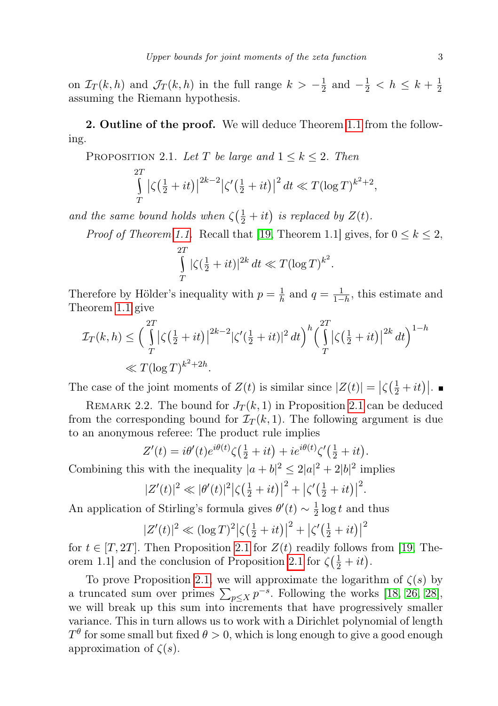on  $\mathcal{I}_T(k, h)$  and  $\mathcal{J}_T(k, h)$  in the full range  $k > -\frac{1}{2}$  $\frac{1}{2}$  and  $-\frac{1}{2} < h \leq k + \frac{1}{2}$ 2 assuming the Riemann hypothesis.

**2. Outline of the proof.** We will deduce Theorem [1.1](#page-1-0) from the following.

<span id="page-2-0"></span>PROPOSITION 2.1. Let T be large and  $1 \leq k \leq 2$ . Then

$$
\int_{T}^{2T} |\zeta(\frac{1}{2} + it)|^{2k-2} |\zeta'(\frac{1}{2} + it)|^2 dt \ll T(\log T)^{k^2+2},
$$

and the same bound holds when  $\zeta(\frac{1}{2} + it)$  is replaced by  $Z(t)$ .

*Proof of Theorem [1.1.](#page-1-0)* Recall that [\[19,](#page-12-12) Theorem 1.1] gives, for  $0 \le k \le 2$ ,

$$
\int\limits_T^{2T} |\zeta(\tfrac{1}{2} + it)|^{2k} dt \ll T(\log T)^{k^2}.
$$

Therefore by Hölder's inequality with  $p = \frac{1}{b}$  $\frac{1}{h}$  and  $q = \frac{1}{1-h}$ , this estimate and Theorem [1.1](#page-1-0) give

$$
\mathcal{I}_T(k, h) \le \left(\int_T^{2T} |\zeta(\frac{1}{2} + it)|^{2k-2} |\zeta'(\frac{1}{2} + it)|^2 dt\right)^h \left(\int_T^{2T} |\zeta(\frac{1}{2} + it)|^{2k} dt\right)^{1-h}
$$
  

$$
\ll T(\log T)^{k^2 + 2h}.
$$

The case of the joint moments of  $Z(t)$  is similar since  $|Z(t)| = |\zeta(\frac{1}{2} + it)|$ .

REMARK 2.2. The bound for  $J_T(k,1)$  in Proposition [2.1](#page-2-0) can be deduced from the corresponding bound for  $\mathcal{I}_T(k,1)$ . The following argument is due to an anonymous referee: The product rule implies

$$
Z'(t) = i\theta'(t)e^{i\theta(t)}\zeta(\frac{1}{2} + it) + ie^{i\theta(t)}\zeta'(\frac{1}{2} + it).
$$

Combining this with the inequality  $|a+b|^2 \leq 2|a|^2 + 2|b|^2$  implies

$$
|Z'(t)|^2 \ll |\theta'(t)|^2 |\zeta(\frac{1}{2} + it)|^2 + |\zeta'(\frac{1}{2} + it)|^2.
$$

An application of Stirling's formula gives  $\theta'(t) \sim \frac{1}{2}$  $\frac{1}{2}$  log t and thus

$$
|Z'(t)|^2 \ll (\log T)^2 |\zeta(\frac{1}{2} + it)|^2 + |\zeta'(\frac{1}{2} + it)|^2
$$

for  $t \in [T, 2T]$ . Then Proposition [2.1](#page-2-0) for  $Z(t)$  readily follows from [\[19,](#page-12-12) The-orem 1.1] and the conclusion of Proposition [2.1](#page-2-0) for  $\zeta(\frac{1}{2} + it)$ .

To prove Proposition [2.1,](#page-2-0) we will approximate the logarithm of  $\zeta(s)$  by a truncated sum over primes  $\sum_{p \leq X} p^{-s}$ . Following the works [\[18,](#page-12-13) [26,](#page-13-2) [28\]](#page-13-0), we will break up this sum into increments that have progressively smaller variance. This in turn allows us to work with a Dirichlet polynomial of length  $T^\theta$  for some small but fixed  $\theta>0,$  which is long enough to give a good enough approximation of  $\zeta(s)$ .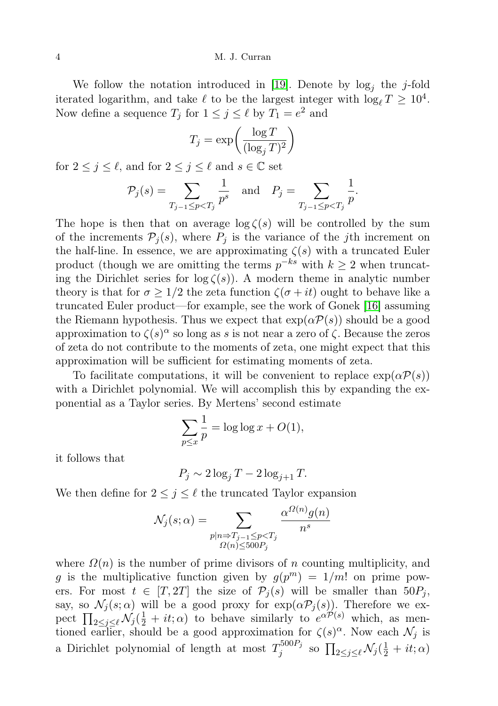We follow the notation introduced in [\[19\]](#page-12-12). Denote by  $log_j$  the j-fold iterated logarithm, and take  $\ell$  to be the largest integer with  $\log_{\ell} T \geq 10^4$ . Now define a sequence  $T_j$  for  $1 \leq j \leq \ell$  by  $T_1 = e^2$  and

$$
T_j = \exp\left(\frac{\log T}{(\log_j T)^2}\right)
$$

for  $2 \leq j \leq \ell$ , and for  $2 \leq j \leq \ell$  and  $s \in \mathbb{C}$  set

$$
\mathcal{P}_j(s) = \sum_{T_{j-1} \le p < T_j} \frac{1}{p^s} \quad \text{and} \quad P_j = \sum_{T_{j-1} \le p < T_j} \frac{1}{p}.
$$

The hope is then that on average  $\log \zeta(s)$  will be controlled by the sum of the increments  $\mathcal{P}_i(s)$ , where  $P_i$  is the variance of the jth increment on the half-line. In essence, we are approximating  $\zeta(s)$  with a truncated Euler product (though we are omitting the terms  $p^{-ks}$  with  $k \geq 2$  when truncating the Dirichlet series for  $\log \zeta(s)$ . A modern theme in analytic number theory is that for  $\sigma \geq 1/2$  the zeta function  $\zeta(\sigma + it)$  ought to behave like a truncated Euler product—for example, see the work of Gonek [\[16\]](#page-12-14) assuming the Riemann hypothesis. Thus we expect that  $\exp(\alpha \mathcal{P}(s))$  should be a good approximation to  $\zeta(s)^\alpha$  so long as s is not near a zero of  $\zeta$ . Because the zeros of zeta do not contribute to the moments of zeta, one might expect that this approximation will be sufficient for estimating moments of zeta.

To facilitate computations, it will be convenient to replace  $\exp(\alpha \mathcal{P}(s))$ with a Dirichlet polynomial. We will accomplish this by expanding the exponential as a Taylor series. By Mertens' second estimate

$$
\sum_{p \le x} \frac{1}{p} = \log \log x + O(1),
$$

it follows that

$$
P_j \sim 2\log_j T - 2\log_{j+1} T.
$$

We then define for  $2 \leq j \leq \ell$  the truncated Taylor expansion

$$
\mathcal{N}_j(s;\alpha) = \sum_{\substack{p|n \Rightarrow T_{j-1} \leq p < T_j \\ \Omega(n) \leq 500P_j}} \frac{\alpha^{\Omega(n)} g(n)}{n^s}
$$

where  $\Omega(n)$  is the number of prime divisors of n counting multiplicity, and g is the multiplicative function given by  $g(p^m) = 1/m!$  on prime powers. For most  $t \in [T, 2T]$  the size of  $\mathcal{P}_j(s)$  will be smaller than  $50P_j$ , say, so  $\mathcal{N}_j(s;\alpha)$  will be a good proxy for  $\exp(\alpha \mathcal{P}_j(s))$ . Therefore we expect  $\prod_{2 \leq j \leq \ell} \mathcal{N}_j(\frac{1}{2} + it; \alpha)$  to behave similarly to  $e^{\alpha \mathcal{P}(s)}$  which, as mentioned earlier, should be a good approximation for  $\zeta(s)^\alpha$ . Now each  $\mathcal{N}_j$  is a Dirichlet polynomial of length at most  $T_i^{500P_j}$  $\int_j^{500P_j}$  so  $\prod_{2 \leq j \leq \ell} \mathcal{N}_j(\frac{1}{2} + it; \alpha)$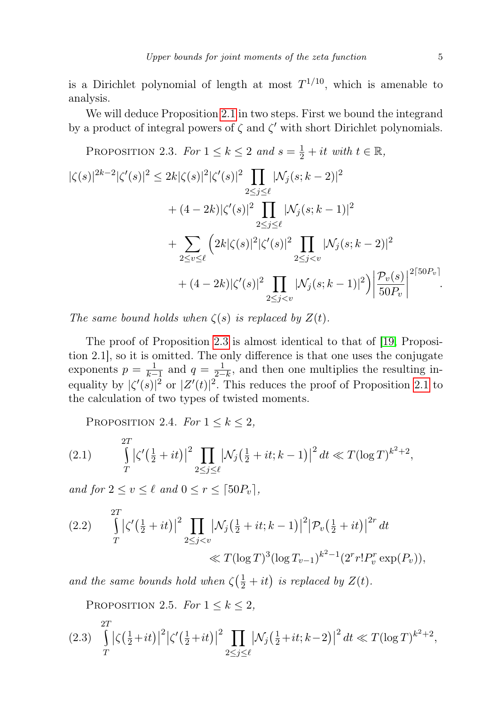is a Dirichlet polynomial of length at most  $T^{1/10}$ , which is amenable to analysis.

We will deduce Proposition [2.1](#page-2-0) in two steps. First we bound the integrand by a product of integral powers of  $\zeta$  and  $\zeta'$  with short Dirichlet polynomials.

<span id="page-4-0"></span>PROPOSITION 2.3. For  $1 \leq k \leq 2$  and  $s = \frac{1}{2} + it$  with  $t \in \mathbb{R}$ ,  $|\zeta(s)|^{2k-2} |\zeta'(s)|^2 \leq 2k|\zeta(s)|^2|\zeta'(s)|^2$  $2 \leq j \leq \ell$  $|\mathcal{N}_j(s; k - 2)|^2$  $+(4-2k)|\zeta'(s)|^2$   $\prod$  $2 \leq j \leq \ell$  $|\mathcal{N}_j(s; k-1)|^2$  $+$   $\Sigma$  $2\leq v \leq \ell$  $\left(2k|\zeta(s)|^2|\zeta'(s)|^2\right)\prod$  $2 \leq j \lt v$  $|\mathcal{N}_j(s; k-2)|^2$  $+(4-2k)|\zeta'(s)|^2$   $\prod$  $2 \leq j \lt v$  $|\mathcal{N}_j(s;k-1)|^2\Big)\Big|$  $\mathcal{P}_v(s)$  $50P_v$  $\begin{array}{c} \hline \end{array}$  $2\lceil 50P_v \rceil$ .

The same bound holds when  $\zeta(s)$  is replaced by  $Z(t)$ .

The proof of Proposition [2.3](#page-4-0) is almost identical to that of [\[19,](#page-12-12) Proposition 2.1], so it is omitted. The only difference is that one uses the conjugate exponents  $p = \frac{1}{k-1}$  and  $q = \frac{1}{2-k}$ , and then one multiplies the resulting inequality by  $|\zeta'(s)|^2$  or  $|Z'(t)|^2$ . This reduces the proof of Proposition [2.1](#page-2-0) to the calculation of two types of twisted moments.

<span id="page-4-3"></span><span id="page-4-1"></span>PROPOSITION 2.4. For  $1 \leq k \leq 2$ ,

(2.1) 
$$
\int_{T}^{2T} \left|\zeta'(\frac{1}{2}+it)\right|^2 \prod_{2 \leq j \leq \ell} \left|\mathcal{N}_j(\frac{1}{2}+it;k-1)\right|^2 dt \ll T(\log T)^{k^2+2},
$$

and for  $2 \le v \le \ell$  and  $0 \le r \le \lceil 50P_v \rceil$ ,

$$
(2.2) \qquad \int_{T}^{2T} \left| \zeta' \left( \frac{1}{2} + it \right) \right|^2 \prod_{2 \le j < v} \left| \mathcal{N}_j \left( \frac{1}{2} + it ; k - 1 \right) \right|^2 \left| \mathcal{P}_v \left( \frac{1}{2} + it \right) \right|^{2r} dt
$$
\n
$$
\ll T (\log T)^3 (\log T_{v-1})^{k^2 - 1} (2^r r! P_v^r \exp(P_v)),
$$

and the same bounds hold when  $\zeta(\frac{1}{2} + it)$  is replaced by  $Z(t)$ .

<span id="page-4-2"></span>PROPOSITION 2.5. For  $1 \leq k \leq 2$ ,

$$
(2.3) \int_{T}^{2T} \left|\zeta(\frac{1}{2}+it)\right|^2 \left|\zeta'(\frac{1}{2}+it)\right|^2 \prod_{2 \le j \le \ell} \left|\mathcal{N}_j(\frac{1}{2}+it;k-2)\right|^2 dt \ll T(\log T)^{k^2+2},
$$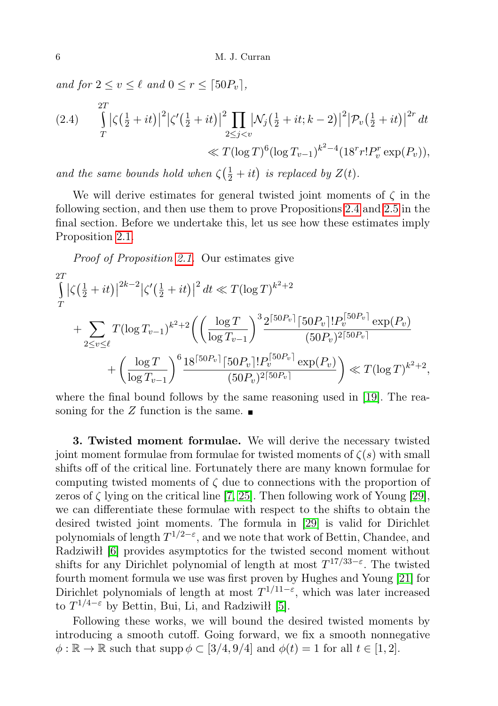and for  $2 \le v \le \ell$  and  $0 \le r \le \lceil 50P_v \rceil$ ,

(2.4) 
$$
\int_{T}^{2T} |\zeta(\frac{1}{2} + it)|^{2} |\zeta'(\frac{1}{2} + it)|^{2} \prod_{2 \leq j < v} |\mathcal{N}_{j}(\frac{1}{2} + it; k - 2)|^{2} |\mathcal{P}_{v}(\frac{1}{2} + it)|^{2r} dt
$$
  

$$
\ll T(\log T)^{6} (\log T_{v-1})^{k^{2}-4} (18^{r} r! P_{v}^{r} \exp(P_{v})),
$$

and the same bounds hold when  $\zeta(\frac{1}{2} + it)$  is replaced by  $Z(t)$ .

We will derive estimates for general twisted joint moments of  $\zeta$  in the following section, and then use them to prove Propositions [2.4](#page-4-1) and [2.5](#page-4-2) in the final section. Before we undertake this, let us see how these estimates imply Proposition [2.1.](#page-2-0)

Proof of Proposition [2.1.](#page-2-0) Our estimates give

$$
\int_{T}^{2T} \left|\zeta\left(\frac{1}{2} + it\right)\right|^{2k-2} \left|\zeta'\left(\frac{1}{2} + it\right)\right|^2 dt \ll T(\log T)^{k^2+2} \n+ \sum_{2 \le v \le \ell} T(\log T_{v-1})^{k^2+2} \left(\left(\frac{\log T}{\log T_{v-1}}\right)^3 \frac{2^{\lceil 50P_v \rceil} \lceil 50P_v \rceil! P_v^{\lceil 50P_v \rceil} \exp(P_v)}{(50P_v)^{2\lceil 50P_v \rceil}} \n+ \left(\frac{\log T}{\log T_{v-1}}\right)^6 \frac{18^{\lceil 50P_v \rceil} \lceil 50P_v \rceil! P_v^{\lceil 50P_v \rceil} \exp(P_v)}{(50P_v)^{2\lceil 50P_v \rceil}}\right) \ll T(\log T)^{k^2+2},
$$

where the final bound follows by the same reasoning used in [\[19\]](#page-12-12). The reasoning for the Z function is the same.  $\blacksquare$ 

3. Twisted moment formulae. We will derive the necessary twisted joint moment formulae from formulae for twisted moments of  $\zeta(s)$  with small shifts off of the critical line. Fortunately there are many known formulae for computing twisted moments of  $\zeta$  due to connections with the proportion of zeros of  $\zeta$  lying on the critical line [\[7,](#page-12-15) [25\]](#page-12-16). Then following work of Young [\[29\]](#page-13-3), we can differentiate these formulae with respect to the shifts to obtain the desired twisted joint moments. The formula in [\[29\]](#page-13-3) is valid for Dirichlet polynomials of length  $T^{1/2-\varepsilon}$ , and we note that work of Bettin, Chandee, and Radziwiłł [\[6\]](#page-12-17) provides asymptotics for the twisted second moment without shifts for any Dirichlet polynomial of length at most  $T^{17/33-\epsilon}$ . The twisted fourth moment formula we use was first proven by Hughes and Young [\[21\]](#page-12-18) for Dirichlet polynomials of length at most  $T^{1/11-\epsilon}$ , which was later increased to  $T^{1/4-\varepsilon}$  by Bettin, Bui, Li, and Radziwiłł [\[5\]](#page-12-19).

Following these works, we will bound the desired twisted moments by introducing a smooth cutoff. Going forward, we fix a smooth nonnegative  $\phi : \mathbb{R} \to \mathbb{R}$  such that supp  $\phi \subset [3/4, 9/4]$  and  $\phi(t) = 1$  for all  $t \in [1, 2]$ .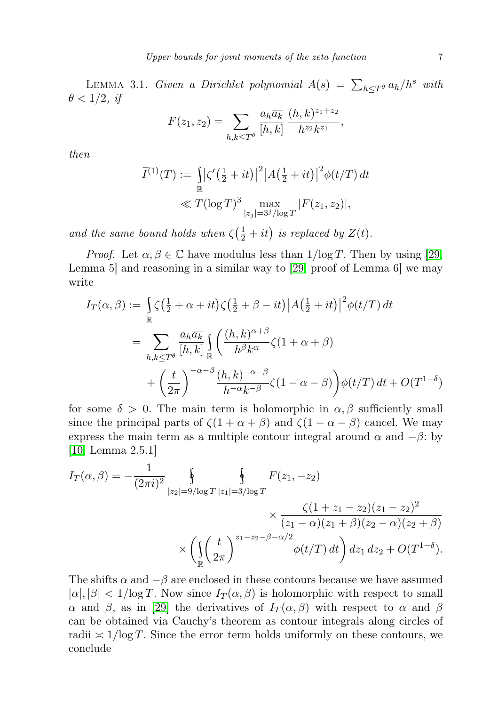<span id="page-6-0"></span>LEMMA 3.1. Given a Dirichlet polynomial  $A(s) = \sum_{h \leq T^{\theta}} a_h/h^s$  with  $\theta < 1/2$ , if

$$
F(z_1, z_2) = \sum_{h,k \le T^{\theta}} \frac{a_h \overline{a_k}}{[h,k]} \frac{(h,k)^{z_1+z_2}}{h^{z_2} k^{z_1}},
$$

then

$$
\widetilde{I}^{(1)}(T) := \iint_{\mathbb{R}} \left| \zeta'(\frac{1}{2} + it) \right|^2 \left| A(\frac{1}{2} + it) \right|^2 \phi(t/T) dt
$$
  

$$
\ll T(\log T)^3 \max_{|z_j| = 3^j / \log T} |F(z_1, z_2)|,
$$

and the same bound holds when  $\zeta(\frac{1}{2} + it)$  is replaced by  $Z(t)$ .

*Proof.* Let  $\alpha, \beta \in \mathbb{C}$  have modulus less than  $1/\log T$ . Then by using [\[29,](#page-13-3) Lemma 5] and reasoning in a similar way to [\[29,](#page-13-3) proof of Lemma 6] we may write

$$
I_T(\alpha, \beta) := \int_{\mathbb{R}} \zeta \left(\frac{1}{2} + \alpha + it\right) \zeta \left(\frac{1}{2} + \beta - it\right) |A\left(\frac{1}{2} + it\right)|^2 \phi(t/T) dt
$$
  

$$
= \sum_{h,k \le T^{\theta}} \frac{a_h \overline{a_k}}{[h,k]} \int_{\mathbb{R}} \left(\frac{(h,k)^{\alpha+\beta}}{h^{\beta}k^{\alpha}} \zeta(1+\alpha+\beta) + \left(\frac{t}{2\pi}\right)^{-\alpha-\beta} \frac{(h,k)^{-\alpha-\beta}}{h^{-\alpha}k^{-\beta}} \zeta(1-\alpha-\beta)\right) \phi(t/T) dt + O(T^{1-\delta})
$$

for some  $\delta > 0$ . The main term is holomorphic in  $\alpha, \beta$  sufficiently small since the principal parts of  $\zeta(1+\alpha+\beta)$  and  $\zeta(1-\alpha-\beta)$  cancel. We may express the main term as a multiple contour integral around  $\alpha$  and  $-\beta$ : by [\[10,](#page-12-20) Lemma 2.5.1]

$$
I_T(\alpha, \beta) = -\frac{1}{(2\pi i)^2} \oint_{|z_2| = 9/\log T} \oint_{|z_1| = 3/\log T} F(z_1, -z_2)
$$
  
\$\times \frac{\zeta(1 + z\_1 - z\_2)(z\_1 - z\_2)^2}{(z\_1 - \alpha)(z\_1 + \beta)(z\_2 - \alpha)(z\_2 + \beta)}\$  
\$\times \left( \iint\_{\mathbb{R}} \left( \frac{t}{2\pi} \right)^{z\_1 - z\_2 - \beta - \alpha/2} \phi(t/T) dt \right) dz\_1 dz\_2 + O(T^{1-\delta}).\$

The shifts  $\alpha$  and  $-\beta$  are enclosed in these contours because we have assumed  $|\alpha|, |\beta| < 1/\log T$ . Now since  $I_T(\alpha, \beta)$  is holomorphic with respect to small α and β, as in [\[29\]](#page-13-3) the derivatives of  $I_T(\alpha, \beta)$  with respect to α and β can be obtained via Cauchy's theorem as contour integrals along circles of radii  $\approx 1/\log T$ . Since the error term holds uniformly on these contours, we conclude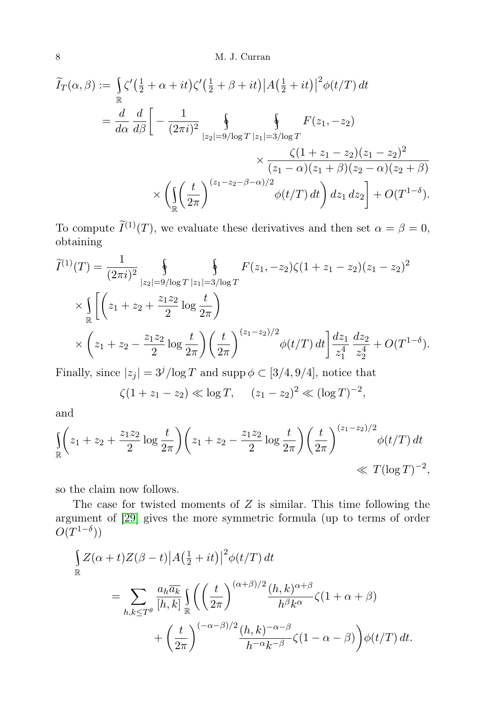$$
\widetilde{I}_{T}(\alpha,\beta) := \int_{\mathbb{R}} \zeta'(\frac{1}{2}+\alpha+it)\zeta'(\frac{1}{2}+\beta+it)|A(\frac{1}{2}+it)|^2\phi(t/T) dt
$$
\n
$$
= \frac{d}{d\alpha} \frac{d}{d\beta} \left[ -\frac{1}{(2\pi i)^2} \oint_{|z_2|=9/\log T} \int_{|z_1|=3/\log T} F(z_1, -z_2) dx
$$
\n
$$
\times \frac{\zeta(1+z_1-z_2)(z_1-z_2)^2}{(z_1-\alpha)(z_1+\beta)(z_2-\alpha)(z_2+\beta)} dx
$$
\n
$$
\times \left( \iint_{\mathbb{R}} \left( \frac{t}{2\pi} \right)^{(z_1-z_2-\beta-\alpha)/2} \phi(t/T) dt \right) dz_1 dz_2 \right] + O(T^{1-\delta}).
$$

To compute  $\widetilde{I}^{(1)}(T)$ , we evaluate these derivatives and then set  $\alpha = \beta = 0$ , obtaining

$$
\widetilde{I}^{(1)}(T) = \frac{1}{(2\pi i)^2} \oint_{|z_2| = 9/\log T} \oint_{|z_1| = 3/\log T} F(z_1, -z_2) \zeta(1 + z_1 - z_2) (z_1 - z_2)^2
$$
\n
$$
\times \int_{\mathbb{R}} \left[ \left( z_1 + z_2 + \frac{z_1 z_2}{2} \log \frac{t}{2\pi} \right) \right.
$$
\n
$$
\times \left( z_1 + z_2 - \frac{z_1 z_2}{2} \log \frac{t}{2\pi} \right) \left( \frac{t}{2\pi} \right)^{(z_1 - z_2)/2} \phi(t/T) dt \Big] \frac{dz_1}{z_1^4} \frac{dz_2}{z_2^4} + O(T^{1 - \delta}).
$$

Finally, since  $|z_j| = 3^j/\log T$  and supp  $\phi \subset [3/4, 9/4]$ , notice that

$$
\zeta(1+z_1-z_2) \ll \log T
$$
,  $(z_1-z_2)^2 \ll (\log T)^{-2}$ ,

and

$$
\int_{\mathbb{R}} \left( z_1 + z_2 + \frac{z_1 z_2}{2} \log \frac{t}{2\pi} \right) \left( z_1 + z_2 - \frac{z_1 z_2}{2} \log \frac{t}{2\pi} \right) \left( \frac{t}{2\pi} \right)^{(z_1 - z_2)/2} \phi(t/T) dt
$$
  
\n
$$
\ll T(\log T)^{-2},
$$

so the claim now follows.

The case for twisted moments of  $Z$  is similar. This time following the argument of [\[29\]](#page-13-3) gives the more symmetric formula (up to terms of order  $O(T^{1-\delta}))$ 

$$
\int_{\mathbb{R}} Z(\alpha + t) Z(\beta - t) |A(\frac{1}{2} + it)|^2 \phi(t/T) dt
$$
\n
$$
= \sum_{h,k \le T^{\theta}} \frac{a_h \overline{a_k}}{[h,k]} \int_{\mathbb{R}} \left( \left(\frac{t}{2\pi}\right)^{(\alpha+\beta)/2} \frac{(h,k)^{\alpha+\beta}}{h^{\beta}k^{\alpha}} \zeta(1+\alpha+\beta) + \left(\frac{t}{2\pi}\right)^{(-\alpha-\beta)/2} \frac{(h,k)^{-\alpha-\beta}}{h^{-\alpha}k^{-\beta}} \zeta(1-\alpha-\beta) \right) \phi(t/T) dt.
$$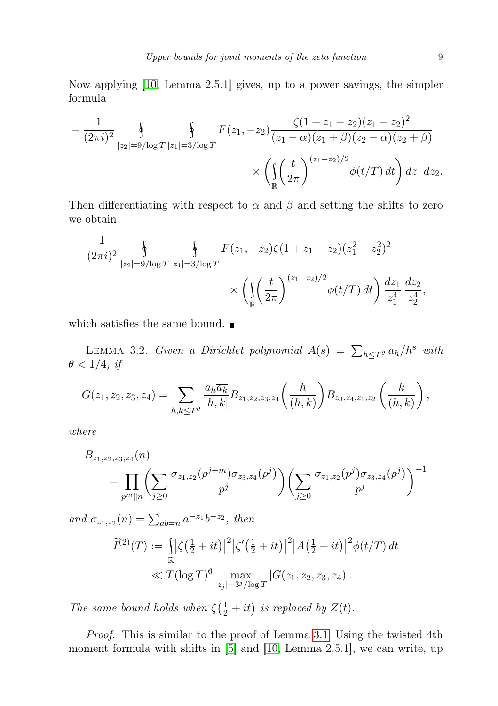Now applying [\[10,](#page-12-20) Lemma 2.5.1] gives, up to a power savings, the simpler formula

$$
-\frac{1}{(2\pi i)^2} \oint_{|z_2|=9/\log T} \oint_{|z_1|=3/\log T} F(z_1, -z_2) \frac{\zeta(1+z_1-z_2)(z_1-z_2)^2}{(z_1-\alpha)(z_1+\beta)(z_2-\alpha)(z_2+\beta)} \times \left( \iint_{\mathbb{R}} \left( \frac{t}{2\pi} \right)^{(z_1-z_2)/2} \phi(t/T) dt \right) dz_1 dz_2.
$$

Then differentiating with respect to  $\alpha$  and  $\beta$  and setting the shifts to zero we obtain

$$
\frac{1}{(2\pi i)^2} \oint_{|z_2|=9/\log T} \oint_{|z_1|=3/\log T} F(z_1, -z_2) \zeta(1+z_1-z_2) (z_1^2-z_2^2)^2
$$

$$
\times \left( \int_{\mathbb{R}} \left( \frac{t}{2\pi} \right)^{(z_1-z_2)/2} \phi(t/T) dt \right) \frac{dz_1}{z_1^4} \frac{dz_2}{z_2^4},
$$

which satisfies the same bound.  $\blacksquare$ 

<span id="page-8-0"></span>LEMMA 3.2. Given a Dirichlet polynomial  $A(s) = \sum_{h \leq T^{\theta}} a_h/h^s$  with  $\theta < 1/4$ , if

$$
G(z_1, z_2, z_3, z_4) = \sum_{h,k \le T^{\theta}} \frac{a_h \overline{a_k}}{[h,k]} B_{z_1, z_2, z_3, z_4} \left(\frac{h}{(h,k)}\right) B_{z_3, z_4, z_1, z_2} \left(\frac{k}{(h,k)}\right),
$$

where

$$
B_{z_1,z_2,z_3,z_4}(n) = \prod_{p^m||n} \left( \sum_{j\geq 0} \frac{\sigma_{z_1,z_2}(p^{j+m})\sigma_{z_3,z_4}(p^j)}{p^j} \right) \left( \sum_{j\geq 0} \frac{\sigma_{z_1,z_2}(p^j)\sigma_{z_3,z_4}(p^j)}{p^j} \right)^{-1}
$$

and  $\sigma_{z_1,z_2}(n) = \sum_{ab=n} a^{-z_1} b^{-z_2}$ , then

$$
\widetilde{I}^{(2)}(T) := \iint_{\mathbb{R}} |\zeta(\frac{1}{2} + it)|^2 |\zeta'(\frac{1}{2} + it)|^2 |A(\frac{1}{2} + it)|^2 \phi(t/T) dt
$$
  

$$
\ll T(\log T)^6 \max_{|z_j| = 3^j/\log T} |G(z_1, z_2, z_3, z_4)|.
$$

The same bound holds when  $\zeta(\frac{1}{2} + it)$  is replaced by  $Z(t)$ .

Proof. This is similar to the proof of Lemma [3.1.](#page-6-0) Using the twisted 4th moment formula with shifts in [\[5\]](#page-12-19) and [\[10,](#page-12-20) Lemma 2.5.1], we can write, up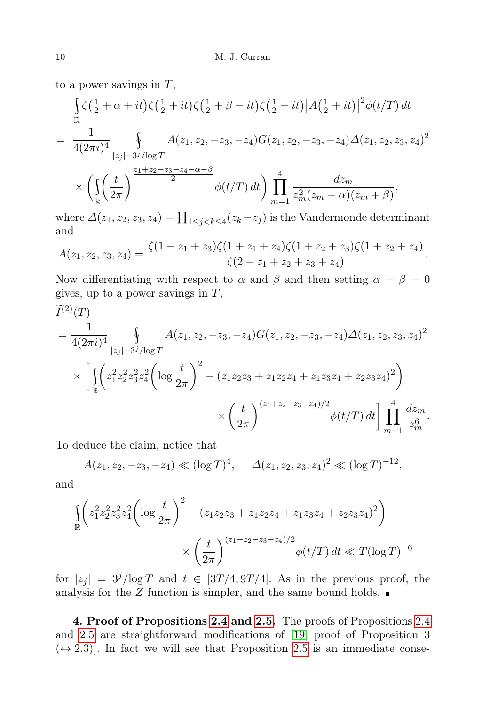to a power savings in  $T$ ,

$$
\int_{\mathbb{R}} \zeta(\frac{1}{2} + \alpha + it) \zeta(\frac{1}{2} + it) \zeta(\frac{1}{2} + \beta - it) \zeta(\frac{1}{2} - it) |A(\frac{1}{2} + it)|^2 \phi(t/T) dt
$$
\n
$$
= \frac{1}{4(2\pi i)^4} \int_{|z_j| = 3^j/\log T} A(z_1, z_2, -z_3, -z_4) G(z_1, z_2, -z_3, -z_4) \Delta(z_1, z_2, z_3, z_4)^2
$$
\n
$$
\times \left( \int_{\mathbb{R}} \left( \frac{t}{2\pi} \right)^{\frac{z_1 + z_2 - z_3 - z_4 - \alpha - \beta}{2}} \phi(t/T) dt \right) \prod_{m=1}^4 \frac{dz_m}{z_m^2 (z_m - \alpha)(z_m + \beta)},
$$

where  $\Delta(z_1, z_2, z_3, z_4) = \prod_{1 \leq j < k \leq 4} (z_k - z_j)$  is the Vandermonde determinant and

$$
A(z_1, z_2, z_3, z_4) = \frac{\zeta(1+z_1+z_3)\zeta(1+z_1+z_4)\zeta(1+z_2+z_3)\zeta(1+z_2+z_4)}{\zeta(2+z_1+z_2+z_3+z_4)}.
$$

Now differentiating with respect to  $\alpha$  and  $\beta$  and then setting  $\alpha = \beta = 0$ gives, up to a power savings in  $T$ ,

$$
\widetilde{I}^{(2)}(T)
$$
\n
$$
= \frac{1}{4(2\pi i)^4} \oint_{|z_j|=3^j/\log T} A(z_1, z_2, -z_3, -z_4) G(z_1, z_2, -z_3, -z_4) \Delta(z_1, z_2, z_3, z_4)^2
$$
\n
$$
\times \left[ \iint_{\mathbb{R}} \left( z_1^2 z_2^2 z_3^2 z_4^2 \left( \log \frac{t}{2\pi} \right)^2 - \left( z_1 z_2 z_3 + z_1 z_2 z_4 + z_1 z_3 z_4 + z_2 z_3 z_4 \right)^2 \right) \times \left( \frac{t}{2\pi} \right)^{(z_1+z_2-z_3-z_4)/2} \phi(t/T) dt \right] \prod_{m=1}^4 \frac{dz_m}{z_m^6}.
$$

To deduce the claim, notice that

$$
A(z_1, z_2, -z_3, -z_4) \ll (\log T)^4
$$
,  $\Delta(z_1, z_2, z_3, z_4)^2 \ll (\log T)^{-12}$ ,

and

$$
\begin{aligned} \int_{\mathbb{R}} \left( z_1^2 z_2^2 z_3^2 z_4^2 \left( \log \frac{t}{2\pi} \right)^2 - (z_1 z_2 z_3 + z_1 z_2 z_4 + z_1 z_3 z_4 + z_2 z_3 z_4)^2 \right) \\ &\times \left( \frac{t}{2\pi} \right)^{(z_1 + z_2 - z_3 - z_4)/2} \phi(t/T) \, dt \ll T (\log T)^{-6} \end{aligned}
$$

for  $|z_j| = 3^j/\log T$  and  $t \in [3T/4, 9T/4]$ . As in the previous proof, the analysis for the  $Z$  function is simpler, and the same bound holds.  $\blacksquare$ 

4. Proof of Propositions [2.4](#page-4-1) and [2.5.](#page-4-2) The proofs of Propositions [2.4](#page-4-1) and [2.5](#page-4-2) are straightforward modifications of [\[19,](#page-12-12) proof of Proposition 3  $(\leftrightarrow 2.3)$ . In fact we will see that Proposition [2.5](#page-4-2) is an immediate conse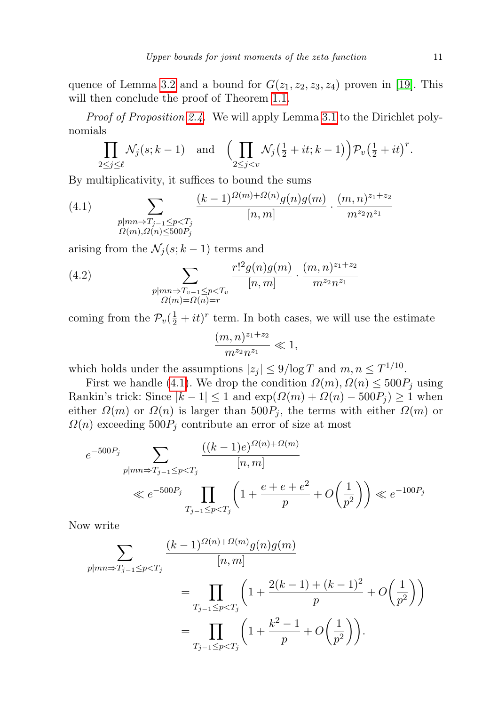quence of Lemma [3.2](#page-8-0) and a bound for  $G(z_1, z_2, z_3, z_4)$  proven in [\[19\]](#page-12-12). This will then conclude the proof of Theorem [1.1.](#page-1-0)

Proof of Proposition [2.4.](#page-4-1) We will apply Lemma [3.1](#page-6-0) to the Dirichlet polynomials

$$
\prod_{2\leq j\leq \ell} \mathcal{N}_j(s;k-1) \quad \text{and} \quad \Big(\prod_{2\leq j< v} \mathcal{N}_j\big(\tfrac{1}{2}+it;k-1\big)\Big) \mathcal{P}_v\big(\tfrac{1}{2}+it\big)^r.
$$

By multiplicativity, it suffices to bound the sums

<span id="page-10-0"></span>(4.1) 
$$
\sum_{\substack{p|mn \Rightarrow T_{j-1} \leq p < T_j \\ \Omega(m), \Omega(n) \leq 500P_j}} \frac{(k-1)^{\Omega(m)+\Omega(n)} g(n)g(m)}{[n,m]} \cdot \frac{(m,n)^{z_1+z_2}}{m^{z_2}n^{z_1}}
$$

arising from the  $\mathcal{N}_j(s; k-1)$  terms and

<span id="page-10-1"></span>(4.2) 
$$
\sum_{\substack{p|mn \Rightarrow T_{v-1} \leq p < T_v \\ \Omega(m) = \Omega(n) = r}} \frac{r!^2 g(n) g(m)}{[n, m]} \cdot \frac{(m, n)^{z_1 + z_2}}{m^{z_2} n^{z_1}}
$$

coming from the  $\mathcal{P}_v(\frac{1}{2} + it)^r$  term. In both cases, we will use the estimate

$$
\frac{(m,n)^{z_1+z_2}}{m^{z_2}n^{z_1}} \ll 1,
$$

which holds under the assumptions  $|z_j| \leq 9/\log T$  and  $m, n \leq T^{1/10}$ .

First we handle [\(4.1\)](#page-10-0). We drop the condition  $\Omega(m)$ ,  $\Omega(n) \leq 500P_j$  using Rankin's trick: Since  $|k-1| \leq 1$  and  $\exp(\Omega(m) + \Omega(n) - 500P_j) \geq 1$  when either  $\Omega(m)$  or  $\Omega(n)$  is larger than  $500P_j$ , the terms with either  $\Omega(m)$  or  $\Omega(n)$  exceeding  $500P_j$  contribute an error of size at most

$$
e^{-500P_j} \sum_{p \mid mn \Rightarrow T_{j-1} \le p < T_j} \frac{((k-1)e)^{\Omega(n) + \Omega(m)}}{[n,m]}
$$
\n
$$
\ll e^{-500P_j} \prod_{T_{j-1} \le p < T_j} \left(1 + \frac{e + e + e^2}{p} + O\left(\frac{1}{p^2}\right)\right) \ll e^{-100P_j}
$$

Now write

$$
\sum_{p \mid mn \Rightarrow T_{j-1} \le p < T_j} \frac{(k-1)^{\Omega(n)+\Omega(m)} g(n)g(m)}{[n,m]}
$$
\n
$$
= \prod_{T_{j-1} \le p < T_j} \left(1 + \frac{2(k-1) + (k-1)^2}{p} + O\left(\frac{1}{p^2}\right)\right)
$$
\n
$$
= \prod_{T_{j-1} \le p < T_j} \left(1 + \frac{k^2 - 1}{p} + O\left(\frac{1}{p^2}\right)\right).
$$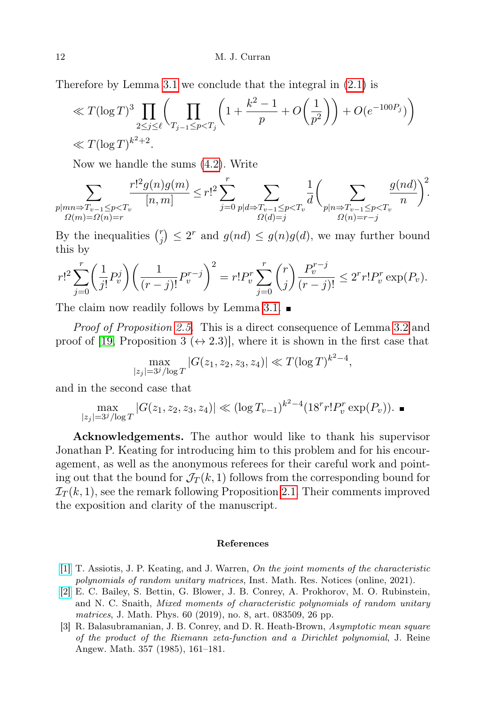Therefore by Lemma [3.1](#page-6-0) we conclude that the integral in [\(2.1\)](#page-4-3) is

$$
\ll T(\log T)^{3} \prod_{2 \leq j \leq \ell} \left( \prod_{T_{j-1} \leq p < T_{j}} \left( 1 + \frac{k^{2} - 1}{p} + O\left(\frac{1}{p^{2}}\right) \right) + O(e^{-100P_{j}}) \right) \ll T(\log T)^{k^{2} + 2}.
$$

Now we handle the sums [\(4.2\)](#page-10-1). Write

$$
\sum_{\substack{p|mn \Rightarrow T_{v-1} \leq p < T_v\\ \Omega(m) = \Omega(n) = r}} \frac{r!^2 g(n)g(m)}{[n,m]} \leq r!^2 \sum_{j=0}^r \sum_{\substack{p|d \Rightarrow T_{v-1} \leq p < T_v\\ \Omega(d) = j}} \frac{1}{d} \bigg(\sum_{\substack{p|n \Rightarrow T_{v-1} \leq p < T_v\\ \Omega(n) = r - j}} \frac{g(nd)}{n}\bigg)^2.
$$

By the inequalities  $\binom{r}{i}$  $g_j^r$   $\leq$  2<sup>r</sup> and  $g(nd) \leq g(n)g(d)$ , we may further bound this by

$$
r!^2 \sum_{j=0}^r \left(\frac{1}{j!} P_v^j\right) \left(\frac{1}{(r-j)!} P_v^{r-j}\right)^2 = r! P_v^r \sum_{j=0}^r \binom{r}{j} \frac{P_v^{r-j}}{(r-j)!} \le 2^r r! P_v^r \exp(P_v).
$$

The claim now readily follows by Lemma [3.1.](#page-6-0)

Proof of Proposition [2.5.](#page-4-2) This is a direct consequence of Lemma [3.2](#page-8-0) and proof of [\[19,](#page-12-12) Proposition 3 ( $\leftrightarrow$  2.3)], where it is shown in the first case that

$$
\max_{|z_j|=3^j/\log T} |G(z_1, z_2, z_3, z_4)| \ll T(\log T)^{k^2-4},
$$

and in the second case that

$$
\max_{|z_j|=3^j/\log T} |G(z_1, z_2, z_3, z_4)| \ll (\log T_{v-1})^{k^2-4} (18^r r! P_v^r \exp(P_v)).
$$

Acknowledgements. The author would like to thank his supervisor Jonathan P. Keating for introducing him to this problem and for his encouragement, as well as the anonymous referees for their careful work and pointing out that the bound for  $\mathcal{J}_T(k,1)$  follows from the corresponding bound for  $\mathcal{I}_T(k,1)$ , see the remark following Proposition [2.1.](#page-2-0) Their comments improved the exposition and clarity of the manuscript.

#### References

- <span id="page-11-1"></span>[\[1\]](http://dx.doi.org/10.1093/imrn/rnab336) T. Assiotis, J. P. Keating, and J. Warren, On the joint moments of the characteristic polynomials of random unitary matrices, Inst. Math. Res. Notices (online, 2021).
- <span id="page-11-0"></span>[\[2\]](http://dx.doi.org/10.1063/1.5092780) E. C. Bailey, S. Bettin, G. Blower, J. B. Conrey, A. Prokhorov, M. O. Rubinstein, and N. C. Snaith, Mixed moments of characteristic polynomials of random unitary matrices, J. Math. Phys. 60 (2019), no. 8, art. 083509, 26 pp.
- [3] R. Balasubramanian, J. B. Conrey, and D. R. Heath-Brown, Asymptotic mean square of the product of the Riemann zeta-function and a Dirichlet polynomial, J. Reine Angew. Math. 357 (1985), 161–181.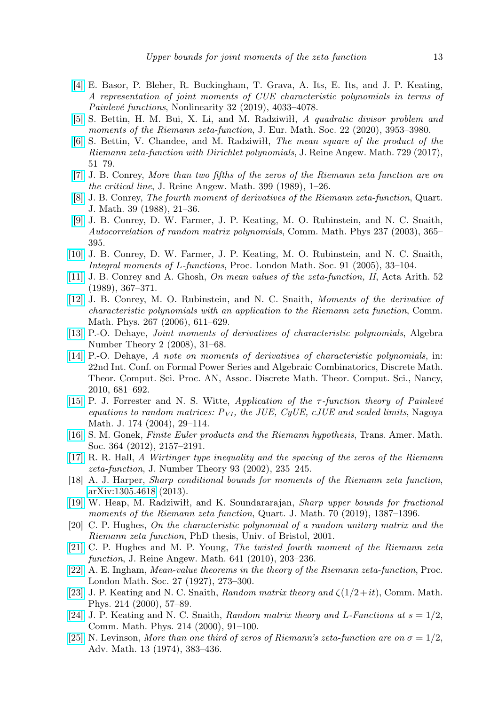- <span id="page-12-7"></span>[\[4\]](http://dx.doi.org/10.1088/1361-6544/ab28c7) E. Basor, P. Bleher, R. Buckingham, T. Grava, A. Its, E. Its, and J. P. Keating, A representation of joint moments of CUE characteristic polynomials in terms of Painlevé functions, Nonlinearity 32 (2019), 4033–4078.
- <span id="page-12-19"></span>[\[5\]](http://dx.doi.org/10.4171/JEMS/999) S. Bettin, H. M. Bui, X. Li, and M. Radziwiłł, A quadratic divisor problem and moments of the Riemann zeta-function, J. Eur. Math. Soc. 22 (2020), 3953-3980.
- <span id="page-12-17"></span>[\[6\]](http://dx.doi.org/10.1515/crelle-2014-0133) S. Bettin, V. Chandee, and M. Radziwiłł, The mean square of the product of the Riemann zeta-function with Dirichlet polynomials, J. Reine Angew. Math. 729 (2017), 51–79.
- <span id="page-12-15"></span>[\[7\]](http://dx.doi.org/10.1515/crll.1989.399.1) J. B. Conrey, More than two fifths of the zeros of the Riemann zeta function are on the critical line, J. Reine Angew. Math. 399 (1989), 1–26.
- <span id="page-12-10"></span>[\[8\]](http://dx.doi.org/10.1093/qmath/39.1.21) J. B. Conrey, The fourth moment of derivatives of the Riemann zeta-function, Quart. J. Math. 39 (1988), 21–36.
- [\[9\]](http://dx.doi.org/10.1007/s00220-003-0852-2) J. B. Conrey, D. W. Farmer, J. P. Keating, M. O. Rubinstein, and N. C. Snaith, Autocorrelation of random matrix polynomials, Comm. Math. Phys 237 (2003), 365– 395.
- <span id="page-12-20"></span>[\[10\]](http://dx.doi.org/10.1112/S0024611504015175) J. B. Conrey, D. W. Farmer, J. P. Keating, M. O. Rubinstein, and N. C. Snaith, Integral moments of L-functions, Proc. London Math. Soc. 91 (2005), 33–104.
- <span id="page-12-11"></span>[\[11\]](http://dx.doi.org/10.4064/aa-52-4-367-371) J. B. Conrey and A. Ghosh, On mean values of the zeta-function, II, Acta Arith. 52 (1989), 367–371.
- <span id="page-12-6"></span>[\[12\]](http://dx.doi.org/10.1007/s00220-006-0090-5) J. B. Conrey, M. O. Rubinstein, and N. C. Snaith, Moments of the derivative of characteristic polynomials with an application to the Riemann zeta function, Comm. Math. Phys. 267 (2006), 611–629.
- <span id="page-12-4"></span>[\[13\]](http://dx.doi.org/10.2140/ant.2008.2.31) P.-O. Dehaye, Joint moments of derivatives of characteristic polynomials, Algebra Number Theory 2 (2008), 31–68.
- <span id="page-12-5"></span>[\[14\]](http://dx.doi.org/10.46298/dmtcs.2823) P.-O. Dehaye, A note on moments of derivatives of characteristic polynomials, in: 22nd Int. Conf. on Formal Power Series and Algebraic Combinatorics, Discrete Math. Theor. Comput. Sci. Proc. AN, Assoc. Discrete Math. Theor. Comput. Sci., Nancy, 2010, 681–692.
- <span id="page-12-8"></span>[\[15\]](http://dx.doi.org/10.1017/S0027763000008801) P. J. Forrester and N. S. Witte, Application of the  $\tau$ -function theory of Painlevé equations to random matrices:  $P_{VI}$ , the JUE, CyUE, cJUE and scaled limits, Nagoya Math. J. 174 (2004), 29–114.
- <span id="page-12-14"></span>[\[16\]](http://dx.doi.org/10.1090/S0002-9947-2011-05546-7) S. M. Gonek, Finite Euler products and the Riemann hypothesis, Trans. Amer. Math. Soc. 364 (2012), 2157–2191.
- <span id="page-12-3"></span>[\[17\]](http://dx.doi.org/10.1006/jnth.2001.2719) R. R. Hall, A Wirtinger type inequality and the spacing of the zeros of the Riemann zeta-function, J. Number Theory 93 (2002), 235–245.
- <span id="page-12-13"></span>[18] A. J. Harper, Sharp conditional bounds for moments of the Riemann zeta function, [arXiv:1305.4618](http://arxiv.org/abs/1305.4618) (2013).
- <span id="page-12-12"></span>[\[19\]](http://dx.doi.org/10.1093/qmathj/haz027) W. Heap, M. Radziwiłł, and K. Soundararajan, Sharp upper bounds for fractional moments of the Riemann zeta function, Quart. J. Math. 70 (2019), 1387–1396.
- <span id="page-12-2"></span>[20] C. P. Hughes, On the characteristic polynomial of a random unitary matrix and the Riemann zeta function, PhD thesis, Univ. of Bristol, 2001.
- <span id="page-12-18"></span>[\[21\]](http://dx.doi.org/10.1515/crelle.2010.034) C. P. Hughes and M. P. Young, The twisted fourth moment of the Riemann zeta function, J. Reine Angew. Math. 641 (2010), 203–236.
- <span id="page-12-9"></span>[\[22\]](http://dx.doi.org/10.1112/plms/s2-27.1.273) A. E. Ingham, Mean-value theorems in the theory of the Riemann zeta-function, Proc. London Math. Soc. 27 (1927), 273–300.
- <span id="page-12-0"></span>[\[23\]](http://dx.doi.org/10.1007/s002200000261) J. P. Keating and N. C. Snaith, Random matrix theory and  $\zeta(1/2+it)$ , Comm. Math. Phys. 214 (2000), 57–89.
- <span id="page-12-1"></span>[\[24\]](http://dx.doi.org/10.1007/s002200000262) J. P. Keating and N. C. Snaith, Random matrix theory and L-Functions at  $s = 1/2$ , Comm. Math. Phys. 214 (2000), 91–100.
- <span id="page-12-16"></span>[\[25\]](http://dx.doi.org/10.1016/0001-8708(74)90074-7) N. Levinson, More than one third of zeros of Riemann's zeta-function are on  $\sigma = 1/2$ , Adv. Math. 13 (1974), 383–436.